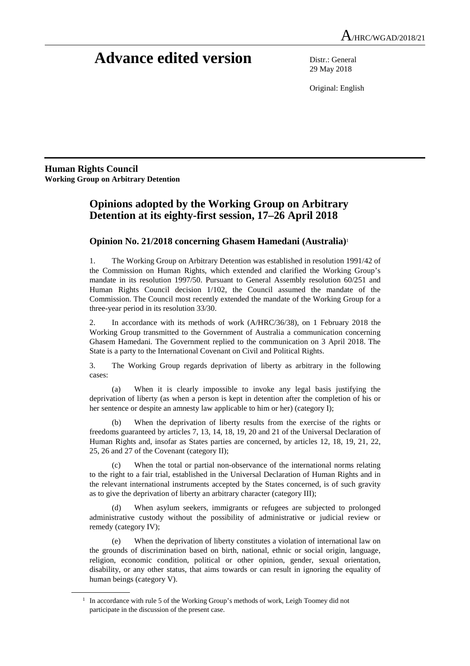# **Advance edited version** Distr.: General

29 May 2018

Original: English

**Human Rights Council Working Group on Arbitrary Detention** 

 $\overline{a}$ 

## **Opinions adopted by the Working Group on Arbitrary Detention at its eighty-first session, 17–26 April 2018**

### **Opinion No. 21/2018 concerning Ghasem Hamedani (Australia)**<sup>1</sup>

1. The Working Group on Arbitrary Detention was established in resolution 1991/42 of the Commission on Human Rights, which extended and clarified the Working Group's mandate in its resolution 1997/50. Pursuant to General Assembly resolution 60/251 and Human Rights Council decision 1/102, the Council assumed the mandate of the Commission. The Council most recently extended the mandate of the Working Group for a three-year period in its resolution 33/30.

2. In accordance with its methods of work (A/HRC/36/38), on 1 February 2018 the Working Group transmitted to the Government of Australia a communication concerning Ghasem Hamedani. The Government replied to the communication on 3 April 2018. The State is a party to the International Covenant on Civil and Political Rights.

3. The Working Group regards deprivation of liberty as arbitrary in the following cases:

 (a) When it is clearly impossible to invoke any legal basis justifying the deprivation of liberty (as when a person is kept in detention after the completion of his or her sentence or despite an amnesty law applicable to him or her) (category I);

 (b) When the deprivation of liberty results from the exercise of the rights or freedoms guaranteed by articles 7, 13, 14, 18, 19, 20 and 21 of the Universal Declaration of Human Rights and, insofar as States parties are concerned, by articles 12, 18, 19, 21, 22, 25, 26 and 27 of the Covenant (category II);

 (c) When the total or partial non-observance of the international norms relating to the right to a fair trial, established in the Universal Declaration of Human Rights and in the relevant international instruments accepted by the States concerned, is of such gravity as to give the deprivation of liberty an arbitrary character (category III);

When asylum seekers, immigrants or refugees are subjected to prolonged administrative custody without the possibility of administrative or judicial review or remedy (category IV);

 (e) When the deprivation of liberty constitutes a violation of international law on the grounds of discrimination based on birth, national, ethnic or social origin, language, religion, economic condition, political or other opinion, gender, sexual orientation, disability, or any other status, that aims towards or can result in ignoring the equality of human beings (category V).

<sup>&</sup>lt;sup>1</sup> In accordance with rule 5 of the Working Group's methods of work, Leigh Toomey did not participate in the discussion of the present case.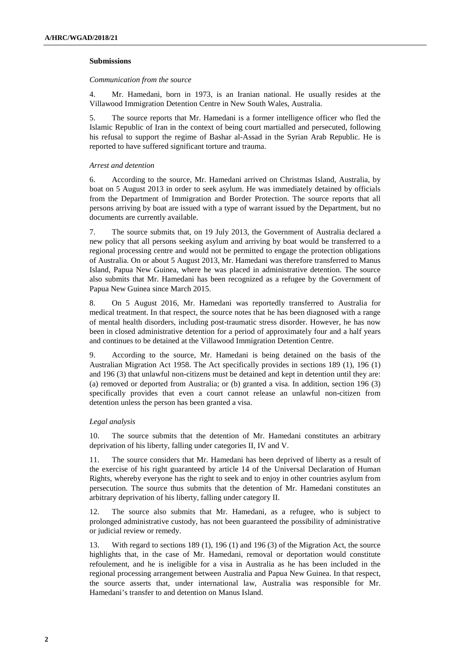#### **Submissions**

#### *Communication from the source*

4. Mr. Hamedani, born in 1973, is an Iranian national. He usually resides at the Villawood Immigration Detention Centre in New South Wales, Australia.

5. The source reports that Mr. Hamedani is a former intelligence officer who fled the Islamic Republic of Iran in the context of being court martialled and persecuted, following his refusal to support the regime of Bashar al-Assad in the Syrian Arab Republic. He is reported to have suffered significant torture and trauma.

#### *Arrest and detention*

6. According to the source, Mr. Hamedani arrived on Christmas Island, Australia, by boat on 5 August 2013 in order to seek asylum. He was immediately detained by officials from the Department of Immigration and Border Protection. The source reports that all persons arriving by boat are issued with a type of warrant issued by the Department, but no documents are currently available.

7. The source submits that, on 19 July 2013, the Government of Australia declared a new policy that all persons seeking asylum and arriving by boat would be transferred to a regional processing centre and would not be permitted to engage the protection obligations of Australia. On or about 5 August 2013, Mr. Hamedani was therefore transferred to Manus Island, Papua New Guinea, where he was placed in administrative detention. The source also submits that Mr. Hamedani has been recognized as a refugee by the Government of Papua New Guinea since March 2015.

8. On 5 August 2016, Mr. Hamedani was reportedly transferred to Australia for medical treatment. In that respect, the source notes that he has been diagnosed with a range of mental health disorders, including post-traumatic stress disorder. However, he has now been in closed administrative detention for a period of approximately four and a half years and continues to be detained at the Villawood Immigration Detention Centre.

9. According to the source, Mr. Hamedani is being detained on the basis of the Australian Migration Act 1958. The Act specifically provides in sections 189 (1), 196 (1) and 196 (3) that unlawful non-citizens must be detained and kept in detention until they are: (a) removed or deported from Australia; or (b) granted a visa. In addition, section 196 (3) specifically provides that even a court cannot release an unlawful non-citizen from detention unless the person has been granted a visa.

#### *Legal analysis*

10. The source submits that the detention of Mr. Hamedani constitutes an arbitrary deprivation of his liberty, falling under categories II, IV and V.

11. The source considers that Mr. Hamedani has been deprived of liberty as a result of the exercise of his right guaranteed by article 14 of the Universal Declaration of Human Rights, whereby everyone has the right to seek and to enjoy in other countries asylum from persecution. The source thus submits that the detention of Mr. Hamedani constitutes an arbitrary deprivation of his liberty, falling under category II.

12. The source also submits that Mr. Hamedani, as a refugee, who is subject to prolonged administrative custody, has not been guaranteed the possibility of administrative or judicial review or remedy.

13. With regard to sections 189 (1), 196 (1) and 196 (3) of the Migration Act, the source highlights that, in the case of Mr. Hamedani, removal or deportation would constitute refoulement, and he is ineligible for a visa in Australia as he has been included in the regional processing arrangement between Australia and Papua New Guinea. In that respect, the source asserts that, under international law, Australia was responsible for Mr. Hamedani's transfer to and detention on Manus Island.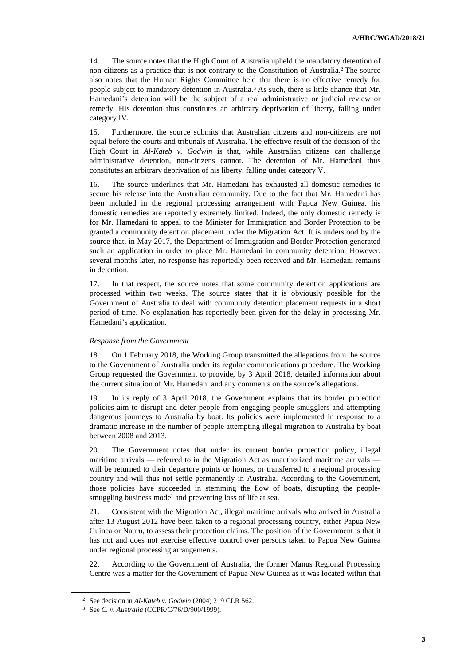14. The source notes that the High Court of Australia upheld the mandatory detention of non-citizens as a practice that is not contrary to the Constitution of Australia.<sup>2</sup> The source also notes that the Human Rights Committee held that there is no effective remedy for people subject to mandatory detention in Australia.<sup>3</sup> As such, there is little chance that Mr. Hamedani's detention will be the subject of a real administrative or judicial review or remedy. His detention thus constitutes an arbitrary deprivation of liberty, falling under category IV.

15. Furthermore, the source submits that Australian citizens and non-citizens are not equal before the courts and tribunals of Australia. The effective result of the decision of the High Court in *Al-Kateb v. Godwin* is that, while Australian citizens can challenge administrative detention, non-citizens cannot. The detention of Mr. Hamedani thus constitutes an arbitrary deprivation of his liberty, falling under category V.

16. The source underlines that Mr. Hamedani has exhausted all domestic remedies to secure his release into the Australian community. Due to the fact that Mr. Hamedani has been included in the regional processing arrangement with Papua New Guinea, his domestic remedies are reportedly extremely limited. Indeed, the only domestic remedy is for Mr. Hamedani to appeal to the Minister for Immigration and Border Protection to be granted a community detention placement under the Migration Act. It is understood by the source that, in May 2017, the Department of Immigration and Border Protection generated such an application in order to place Mr. Hamedani in community detention. However, several months later, no response has reportedly been received and Mr. Hamedani remains in detention.

17. In that respect, the source notes that some community detention applications are processed within two weeks. The source states that it is obviously possible for the Government of Australia to deal with community detention placement requests in a short period of time. No explanation has reportedly been given for the delay in processing Mr. Hamedani's application.

#### *Response from the Government*

18. On 1 February 2018, the Working Group transmitted the allegations from the source to the Government of Australia under its regular communications procedure. The Working Group requested the Government to provide, by 3 April 2018, detailed information about the current situation of Mr. Hamedani and any comments on the source's allegations.

19. In its reply of 3 April 2018, the Government explains that its border protection policies aim to disrupt and deter people from engaging people smugglers and attempting dangerous journeys to Australia by boat. Its policies were implemented in response to a dramatic increase in the number of people attempting illegal migration to Australia by boat between 2008 and 2013.

20. The Government notes that under its current border protection policy, illegal maritime arrivals — referred to in the Migration Act as unauthorized maritime arrivals will be returned to their departure points or homes, or transferred to a regional processing country and will thus not settle permanently in Australia. According to the Government, those policies have succeeded in stemming the flow of boats, disrupting the peoplesmuggling business model and preventing loss of life at sea.

21. Consistent with the Migration Act, illegal maritime arrivals who arrived in Australia after 13 August 2012 have been taken to a regional processing country, either Papua New Guinea or Nauru, to assess their protection claims. The position of the Government is that it has not and does not exercise effective control over persons taken to Papua New Guinea under regional processing arrangements.

22. According to the Government of Australia, the former Manus Regional Processing Centre was a matter for the Government of Papua New Guinea as it was located within that

<sup>2</sup> See decision in *Al-Kateb v. Godwin* (2004) 219 CLR 562.

<sup>3</sup> See *C. v. Australia* (CCPR/C/76/D/900/1999)*.*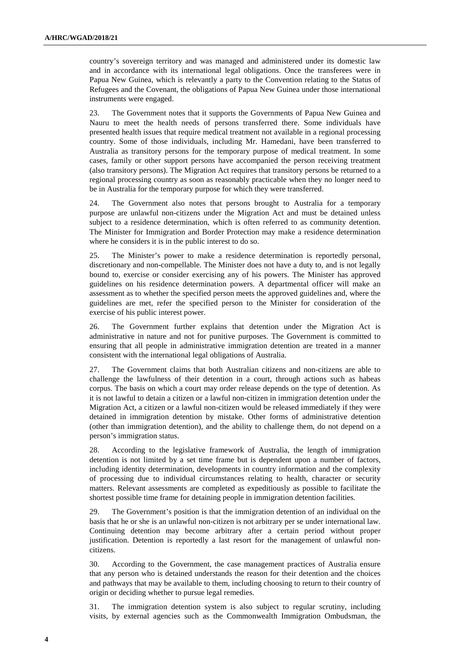country's sovereign territory and was managed and administered under its domestic law and in accordance with its international legal obligations. Once the transferees were in Papua New Guinea, which is relevantly a party to the Convention relating to the Status of Refugees and the Covenant, the obligations of Papua New Guinea under those international instruments were engaged.

23. The Government notes that it supports the Governments of Papua New Guinea and Nauru to meet the health needs of persons transferred there. Some individuals have presented health issues that require medical treatment not available in a regional processing country. Some of those individuals, including Mr. Hamedani, have been transferred to Australia as transitory persons for the temporary purpose of medical treatment. In some cases, family or other support persons have accompanied the person receiving treatment (also transitory persons). The Migration Act requires that transitory persons be returned to a regional processing country as soon as reasonably practicable when they no longer need to be in Australia for the temporary purpose for which they were transferred.

24. The Government also notes that persons brought to Australia for a temporary purpose are unlawful non-citizens under the Migration Act and must be detained unless subject to a residence determination, which is often referred to as community detention. The Minister for Immigration and Border Protection may make a residence determination where he considers it is in the public interest to do so.

25. The Minister's power to make a residence determination is reportedly personal, discretionary and non-compellable. The Minister does not have a duty to, and is not legally bound to, exercise or consider exercising any of his powers. The Minister has approved guidelines on his residence determination powers. A departmental officer will make an assessment as to whether the specified person meets the approved guidelines and, where the guidelines are met, refer the specified person to the Minister for consideration of the exercise of his public interest power.

26. The Government further explains that detention under the Migration Act is administrative in nature and not for punitive purposes. The Government is committed to ensuring that all people in administrative immigration detention are treated in a manner consistent with the international legal obligations of Australia.

27. The Government claims that both Australian citizens and non-citizens are able to challenge the lawfulness of their detention in a court, through actions such as habeas corpus. The basis on which a court may order release depends on the type of detention. As it is not lawful to detain a citizen or a lawful non-citizen in immigration detention under the Migration Act, a citizen or a lawful non-citizen would be released immediately if they were detained in immigration detention by mistake. Other forms of administrative detention (other than immigration detention), and the ability to challenge them, do not depend on a person's immigration status.

28. According to the legislative framework of Australia, the length of immigration detention is not limited by a set time frame but is dependent upon a number of factors, including identity determination, developments in country information and the complexity of processing due to individual circumstances relating to health, character or security matters. Relevant assessments are completed as expeditiously as possible to facilitate the shortest possible time frame for detaining people in immigration detention facilities.

29. The Government's position is that the immigration detention of an individual on the basis that he or she is an unlawful non-citizen is not arbitrary per se under international law. Continuing detention may become arbitrary after a certain period without proper justification. Detention is reportedly a last resort for the management of unlawful noncitizens.

30. According to the Government, the case management practices of Australia ensure that any person who is detained understands the reason for their detention and the choices and pathways that may be available to them, including choosing to return to their country of origin or deciding whether to pursue legal remedies.

31. The immigration detention system is also subject to regular scrutiny, including visits, by external agencies such as the Commonwealth Immigration Ombudsman, the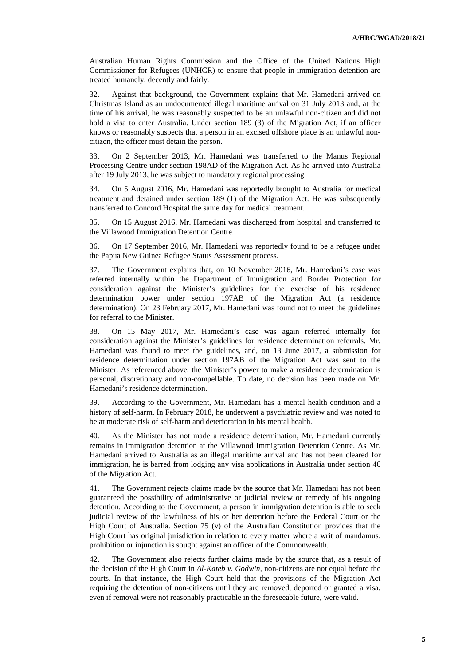Australian Human Rights Commission and the Office of the United Nations High Commissioner for Refugees (UNHCR) to ensure that people in immigration detention are treated humanely, decently and fairly.

32. Against that background, the Government explains that Mr. Hamedani arrived on Christmas Island as an undocumented illegal maritime arrival on 31 July 2013 and, at the time of his arrival, he was reasonably suspected to be an unlawful non-citizen and did not hold a visa to enter Australia. Under section 189 (3) of the Migration Act, if an officer knows or reasonably suspects that a person in an excised offshore place is an unlawful noncitizen, the officer must detain the person.

33. On 2 September 2013, Mr. Hamedani was transferred to the Manus Regional Processing Centre under section 198AD of the Migration Act. As he arrived into Australia after 19 July 2013, he was subject to mandatory regional processing.

34. On 5 August 2016, Mr. Hamedani was reportedly brought to Australia for medical treatment and detained under section 189 (1) of the Migration Act. He was subsequently transferred to Concord Hospital the same day for medical treatment.

35. On 15 August 2016, Mr. Hamedani was discharged from hospital and transferred to the Villawood Immigration Detention Centre.

36. On 17 September 2016, Mr. Hamedani was reportedly found to be a refugee under the Papua New Guinea Refugee Status Assessment process.

37. The Government explains that, on 10 November 2016, Mr. Hamedani's case was referred internally within the Department of Immigration and Border Protection for consideration against the Minister's guidelines for the exercise of his residence determination power under section 197AB of the Migration Act (a residence determination). On 23 February 2017, Mr. Hamedani was found not to meet the guidelines for referral to the Minister.

38. On 15 May 2017, Mr. Hamedani's case was again referred internally for consideration against the Minister's guidelines for residence determination referrals. Mr. Hamedani was found to meet the guidelines, and, on 13 June 2017, a submission for residence determination under section 197AB of the Migration Act was sent to the Minister. As referenced above, the Minister's power to make a residence determination is personal, discretionary and non-compellable. To date, no decision has been made on Mr. Hamedani's residence determination.

39. According to the Government, Mr. Hamedani has a mental health condition and a history of self-harm. In February 2018, he underwent a psychiatric review and was noted to be at moderate risk of self-harm and deterioration in his mental health.

40. As the Minister has not made a residence determination, Mr. Hamedani currently remains in immigration detention at the Villawood Immigration Detention Centre. As Mr. Hamedani arrived to Australia as an illegal maritime arrival and has not been cleared for immigration, he is barred from lodging any visa applications in Australia under section 46 of the Migration Act.

41. The Government rejects claims made by the source that Mr. Hamedani has not been guaranteed the possibility of administrative or judicial review or remedy of his ongoing detention. According to the Government, a person in immigration detention is able to seek judicial review of the lawfulness of his or her detention before the Federal Court or the High Court of Australia. Section 75 (v) of the Australian Constitution provides that the High Court has original jurisdiction in relation to every matter where a writ of mandamus, prohibition or injunction is sought against an officer of the Commonwealth.

42. The Government also rejects further claims made by the source that, as a result of the decision of the High Court in *Al-Kateb v. Godwin*, non-citizens are not equal before the courts. In that instance, the High Court held that the provisions of the Migration Act requiring the detention of non-citizens until they are removed, deported or granted a visa, even if removal were not reasonably practicable in the foreseeable future, were valid.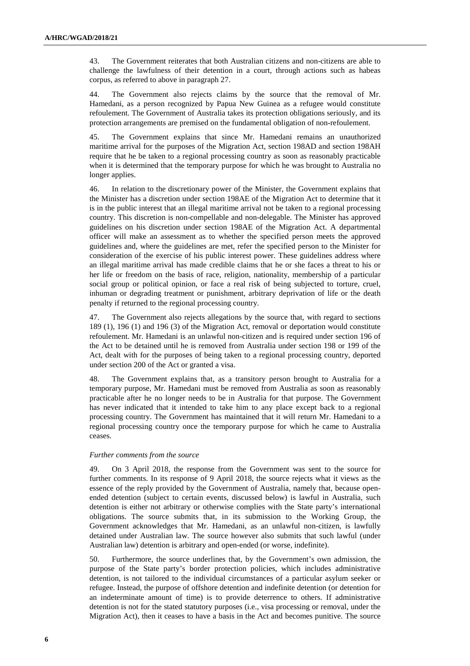43. The Government reiterates that both Australian citizens and non-citizens are able to challenge the lawfulness of their detention in a court, through actions such as habeas corpus, as referred to above in paragraph 27.

44. The Government also rejects claims by the source that the removal of Mr. Hamedani, as a person recognized by Papua New Guinea as a refugee would constitute refoulement. The Government of Australia takes its protection obligations seriously, and its protection arrangements are premised on the fundamental obligation of non-refoulement.

45. The Government explains that since Mr. Hamedani remains an unauthorized maritime arrival for the purposes of the Migration Act, section 198AD and section 198AH require that he be taken to a regional processing country as soon as reasonably practicable when it is determined that the temporary purpose for which he was brought to Australia no longer applies.

46. In relation to the discretionary power of the Minister, the Government explains that the Minister has a discretion under section 198AE of the Migration Act to determine that it is in the public interest that an illegal maritime arrival not be taken to a regional processing country. This discretion is non-compellable and non-delegable. The Minister has approved guidelines on his discretion under section 198AE of the Migration Act. A departmental officer will make an assessment as to whether the specified person meets the approved guidelines and, where the guidelines are met, refer the specified person to the Minister for consideration of the exercise of his public interest power. These guidelines address where an illegal maritime arrival has made credible claims that he or she faces a threat to his or her life or freedom on the basis of race, religion, nationality, membership of a particular social group or political opinion, or face a real risk of being subjected to torture, cruel, inhuman or degrading treatment or punishment, arbitrary deprivation of life or the death penalty if returned to the regional processing country.

47. The Government also rejects allegations by the source that, with regard to sections 189 (1), 196 (1) and 196 (3) of the Migration Act, removal or deportation would constitute refoulement. Mr. Hamedani is an unlawful non-citizen and is required under section 196 of the Act to be detained until he is removed from Australia under section 198 or 199 of the Act, dealt with for the purposes of being taken to a regional processing country, deported under section 200 of the Act or granted a visa.

48. The Government explains that, as a transitory person brought to Australia for a temporary purpose, Mr. Hamedani must be removed from Australia as soon as reasonably practicable after he no longer needs to be in Australia for that purpose. The Government has never indicated that it intended to take him to any place except back to a regional processing country. The Government has maintained that it will return Mr. Hamedani to a regional processing country once the temporary purpose for which he came to Australia ceases.

#### *Further comments from the source*

49. On 3 April 2018, the response from the Government was sent to the source for further comments. In its response of 9 April 2018, the source rejects what it views as the essence of the reply provided by the Government of Australia, namely that, because openended detention (subject to certain events, discussed below) is lawful in Australia, such detention is either not arbitrary or otherwise complies with the State party's international obligations. The source submits that, in its submission to the Working Group, the Government acknowledges that Mr. Hamedani, as an unlawful non-citizen, is lawfully detained under Australian law. The source however also submits that such lawful (under Australian law) detention is arbitrary and open-ended (or worse, indefinite).

50. Furthermore, the source underlines that, by the Government's own admission, the purpose of the State party's border protection policies, which includes administrative detention, is not tailored to the individual circumstances of a particular asylum seeker or refugee. Instead, the purpose of offshore detention and indefinite detention (or detention for an indeterminate amount of time) is to provide deterrence to others. If administrative detention is not for the stated statutory purposes (i.e., visa processing or removal, under the Migration Act), then it ceases to have a basis in the Act and becomes punitive. The source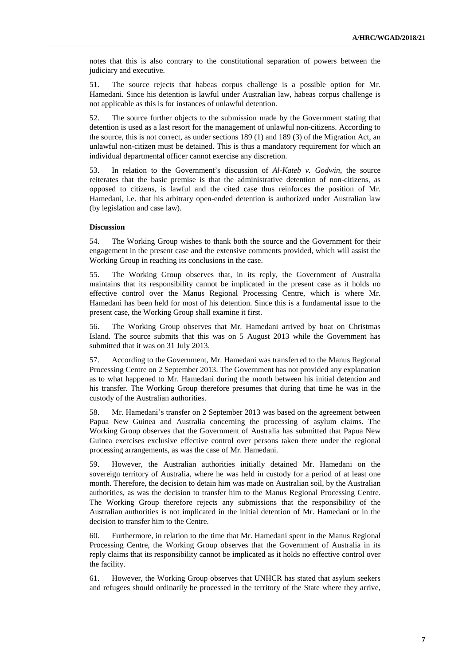notes that this is also contrary to the constitutional separation of powers between the judiciary and executive.

51. The source rejects that habeas corpus challenge is a possible option for Mr. Hamedani. Since his detention is lawful under Australian law, habeas corpus challenge is not applicable as this is for instances of unlawful detention.

52. The source further objects to the submission made by the Government stating that detention is used as a last resort for the management of unlawful non-citizens. According to the source, this is not correct, as under sections 189 (1) and 189 (3) of the Migration Act, an unlawful non-citizen must be detained. This is thus a mandatory requirement for which an individual departmental officer cannot exercise any discretion.

53. In relation to the Government's discussion of *Al-Kateb v. Godwin*, the source reiterates that the basic premise is that the administrative detention of non-citizens, as opposed to citizens, is lawful and the cited case thus reinforces the position of Mr. Hamedani, i.e. that his arbitrary open-ended detention is authorized under Australian law (by legislation and case law).

#### **Discussion**

54. The Working Group wishes to thank both the source and the Government for their engagement in the present case and the extensive comments provided, which will assist the Working Group in reaching its conclusions in the case.

55. The Working Group observes that, in its reply, the Government of Australia maintains that its responsibility cannot be implicated in the present case as it holds no effective control over the Manus Regional Processing Centre, which is where Mr. Hamedani has been held for most of his detention. Since this is a fundamental issue to the present case, the Working Group shall examine it first.

56. The Working Group observes that Mr. Hamedani arrived by boat on Christmas Island. The source submits that this was on 5 August 2013 while the Government has submitted that it was on 31 July 2013.

57. According to the Government, Mr. Hamedani was transferred to the Manus Regional Processing Centre on 2 September 2013. The Government has not provided any explanation as to what happened to Mr. Hamedani during the month between his initial detention and his transfer. The Working Group therefore presumes that during that time he was in the custody of the Australian authorities.

58. Mr. Hamedani's transfer on 2 September 2013 was based on the agreement between Papua New Guinea and Australia concerning the processing of asylum claims. The Working Group observes that the Government of Australia has submitted that Papua New Guinea exercises exclusive effective control over persons taken there under the regional processing arrangements, as was the case of Mr. Hamedani.

59. However, the Australian authorities initially detained Mr. Hamedani on the sovereign territory of Australia, where he was held in custody for a period of at least one month. Therefore, the decision to detain him was made on Australian soil, by the Australian authorities, as was the decision to transfer him to the Manus Regional Processing Centre. The Working Group therefore rejects any submissions that the responsibility of the Australian authorities is not implicated in the initial detention of Mr. Hamedani or in the decision to transfer him to the Centre.

60. Furthermore, in relation to the time that Mr. Hamedani spent in the Manus Regional Processing Centre, the Working Group observes that the Government of Australia in its reply claims that its responsibility cannot be implicated as it holds no effective control over the facility.

61. However, the Working Group observes that UNHCR has stated that asylum seekers and refugees should ordinarily be processed in the territory of the State where they arrive,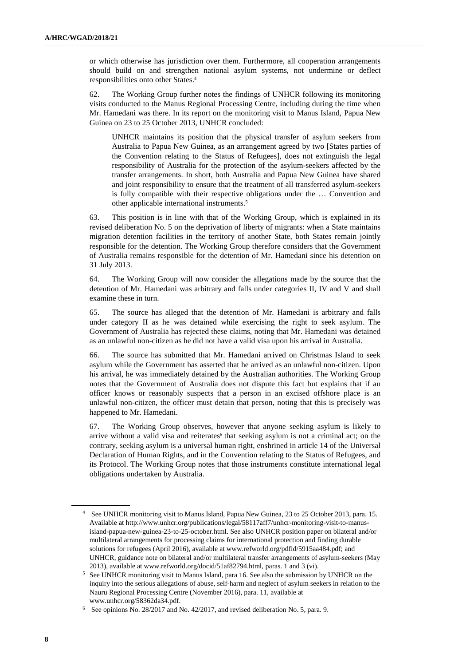or which otherwise has jurisdiction over them. Furthermore, all cooperation arrangements should build on and strengthen national asylum systems, not undermine or deflect responsibilities onto other States.<sup>4</sup>

62. The Working Group further notes the findings of UNHCR following its monitoring visits conducted to the Manus Regional Processing Centre, including during the time when Mr. Hamedani was there. In its report on the monitoring visit to Manus Island, Papua New Guinea on 23 to 25 October 2013, UNHCR concluded:

UNHCR maintains its position that the physical transfer of asylum seekers from Australia to Papua New Guinea, as an arrangement agreed by two [States parties of the Convention relating to the Status of Refugees], does not extinguish the legal responsibility of Australia for the protection of the asylum-seekers affected by the transfer arrangements. In short, both Australia and Papua New Guinea have shared and joint responsibility to ensure that the treatment of all transferred asylum-seekers is fully compatible with their respective obligations under the … Convention and other applicable international instruments.<sup>5</sup>

63. This position is in line with that of the Working Group, which is explained in its revised deliberation No. 5 on the deprivation of liberty of migrants: when a State maintains migration detention facilities in the territory of another State, both States remain jointly responsible for the detention. The Working Group therefore considers that the Government of Australia remains responsible for the detention of Mr. Hamedani since his detention on 31 July 2013.

64. The Working Group will now consider the allegations made by the source that the detention of Mr. Hamedani was arbitrary and falls under categories II, IV and V and shall examine these in turn.

65. The source has alleged that the detention of Mr. Hamedani is arbitrary and falls under category II as he was detained while exercising the right to seek asylum. The Government of Australia has rejected these claims, noting that Mr. Hamedani was detained as an unlawful non-citizen as he did not have a valid visa upon his arrival in Australia.

66. The source has submitted that Mr. Hamedani arrived on Christmas Island to seek asylum while the Government has asserted that he arrived as an unlawful non-citizen. Upon his arrival, he was immediately detained by the Australian authorities. The Working Group notes that the Government of Australia does not dispute this fact but explains that if an officer knows or reasonably suspects that a person in an excised offshore place is an unlawful non-citizen, the officer must detain that person, noting that this is precisely was happened to Mr. Hamedani.

67. The Working Group observes, however that anyone seeking asylum is likely to arrive without a valid visa and reiterates<sup>6</sup> that seeking asylum is not a criminal act; on the contrary, seeking asylum is a universal human right, enshrined in article 14 of the Universal Declaration of Human Rights, and in the Convention relating to the Status of Refugees, and its Protocol. The Working Group notes that those instruments constitute international legal obligations undertaken by Australia.

<sup>4</sup> See UNHCR monitoring visit to Manus Island, Papua New Guinea, 23 to 25 October 2013, para. 15. Available at http://www.unhcr.org/publications/legal/58117aff7/unhcr-monitoring-visit-to-manusisland-papua-new-guinea-23-to-25-october.html. See also UNHCR position paper on bilateral and/or multilateral arrangements for processing claims for international protection and finding durable solutions for refugees (April 2016), available at www.refworld.org/pdfid/5915aa484.pdf; and UNHCR, guidance note on bilateral and/or multilateral transfer arrangements of asylum-seekers (May 2013), available at www.refworld.org/docid/51af82794.html, paras. 1 and 3 (vi).

<sup>&</sup>lt;sup>5</sup> See UNHCR monitoring visit to Manus Island, para 16. See also the submission by UNHCR on the inquiry into the serious allegations of abuse, self-harm and neglect of asylum seekers in relation to the Nauru Regional Processing Centre (November 2016), para. 11, available at www.unhcr.org/58362da34.pdf.

<sup>&</sup>lt;sup>6</sup> See opinions No. 28/2017 and No. 42/2017, and revised deliberation No. 5, para. 9.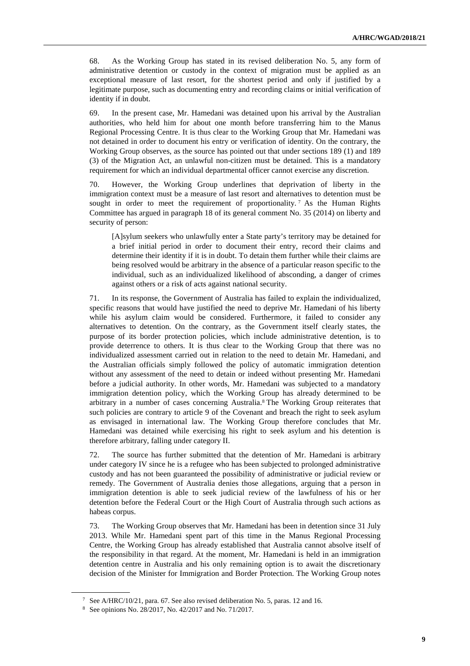68. As the Working Group has stated in its revised deliberation No. 5, any form of administrative detention or custody in the context of migration must be applied as an exceptional measure of last resort, for the shortest period and only if justified by a legitimate purpose, such as documenting entry and recording claims or initial verification of identity if in doubt.

69. In the present case, Mr. Hamedani was detained upon his arrival by the Australian authorities, who held him for about one month before transferring him to the Manus Regional Processing Centre. It is thus clear to the Working Group that Mr. Hamedani was not detained in order to document his entry or verification of identity. On the contrary, the Working Group observes, as the source has pointed out that under sections 189 (1) and 189 (3) of the Migration Act, an unlawful non-citizen must be detained. This is a mandatory requirement for which an individual departmental officer cannot exercise any discretion.

70. However, the Working Group underlines that deprivation of liberty in the immigration context must be a measure of last resort and alternatives to detention must be sought in order to meet the requirement of proportionality.<sup>7</sup> As the Human Rights Committee has argued in paragraph 18 of its general comment No. 35 (2014) on liberty and security of person:

[A]sylum seekers who unlawfully enter a State party's territory may be detained for a brief initial period in order to document their entry, record their claims and determine their identity if it is in doubt. To detain them further while their claims are being resolved would be arbitrary in the absence of a particular reason specific to the individual, such as an individualized likelihood of absconding, a danger of crimes against others or a risk of acts against national security.

71. In its response, the Government of Australia has failed to explain the individualized, specific reasons that would have justified the need to deprive Mr. Hamedani of his liberty while his asylum claim would be considered. Furthermore, it failed to consider any alternatives to detention. On the contrary, as the Government itself clearly states, the purpose of its border protection policies, which include administrative detention, is to provide deterrence to others. It is thus clear to the Working Group that there was no individualized assessment carried out in relation to the need to detain Mr. Hamedani, and the Australian officials simply followed the policy of automatic immigration detention without any assessment of the need to detain or indeed without presenting Mr. Hamedani before a judicial authority. In other words, Mr. Hamedani was subjected to a mandatory immigration detention policy, which the Working Group has already determined to be arbitrary in a number of cases concerning Australia. 8 The Working Group reiterates that such policies are contrary to article 9 of the Covenant and breach the right to seek asylum as envisaged in international law. The Working Group therefore concludes that Mr. Hamedani was detained while exercising his right to seek asylum and his detention is therefore arbitrary, falling under category II.

72. The source has further submitted that the detention of Mr. Hamedani is arbitrary under category IV since he is a refugee who has been subjected to prolonged administrative custody and has not been guaranteed the possibility of administrative or judicial review or remedy. The Government of Australia denies those allegations, arguing that a person in immigration detention is able to seek judicial review of the lawfulness of his or her detention before the Federal Court or the High Court of Australia through such actions as habeas corpus.

73. The Working Group observes that Mr. Hamedani has been in detention since 31 July 2013. While Mr. Hamedani spent part of this time in the Manus Regional Processing Centre, the Working Group has already established that Australia cannot absolve itself of the responsibility in that regard. At the moment, Mr. Hamedani is held in an immigration detention centre in Australia and his only remaining option is to await the discretionary decision of the Minister for Immigration and Border Protection. The Working Group notes

<sup>&</sup>lt;sup>7</sup> See A/HRC/10/21, para. 67. See also revised deliberation No. 5, paras. 12 and 16.

<sup>8</sup> See opinions No. 28/2017, No. 42/2017 and No. 71/2017.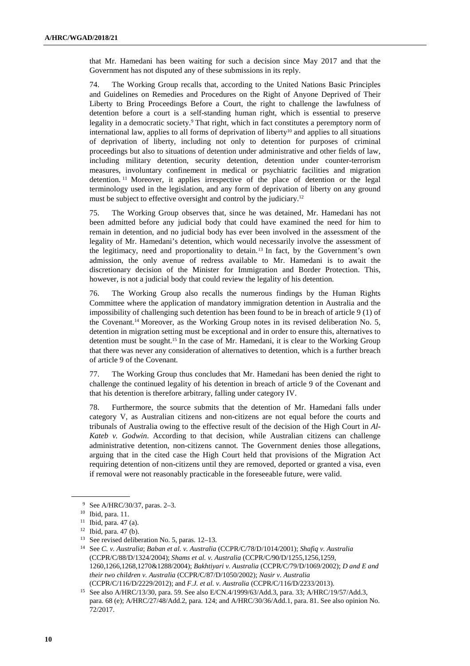that Mr. Hamedani has been waiting for such a decision since May 2017 and that the Government has not disputed any of these submissions in its reply.

74. The Working Group recalls that, according to the United Nations Basic Principles and Guidelines on Remedies and Procedures on the Right of Anyone Deprived of Their Liberty to Bring Proceedings Before a Court, the right to challenge the lawfulness of detention before a court is a self-standing human right, which is essential to preserve legality in a democratic society.<sup>9</sup> That right, which in fact constitutes a peremptory norm of international law, applies to all forms of deprivation of liberty<sup>10</sup> and applies to all situations of deprivation of liberty, including not only to detention for purposes of criminal proceedings but also to situations of detention under administrative and other fields of law, including military detention, security detention, detention under counter-terrorism measures, involuntary confinement in medical or psychiatric facilities and migration detention.  $11$  Moreover, it applies irrespective of the place of detention or the legal terminology used in the legislation, and any form of deprivation of liberty on any ground must be subject to effective oversight and control by the judiciary.<sup>12</sup>

75. The Working Group observes that, since he was detained, Mr. Hamedani has not been admitted before any judicial body that could have examined the need for him to remain in detention, and no judicial body has ever been involved in the assessment of the legality of Mr. Hamedani's detention, which would necessarily involve the assessment of the legitimacy, need and proportionality to detain. <sup>13</sup> In fact, by the Government's own admission, the only avenue of redress available to Mr. Hamedani is to await the discretionary decision of the Minister for Immigration and Border Protection. This, however, is not a judicial body that could review the legality of his detention.

76. The Working Group also recalls the numerous findings by the Human Rights Committee where the application of mandatory immigration detention in Australia and the impossibility of challenging such detention has been found to be in breach of article 9 (1) of the Covenant.14 Moreover, as the Working Group notes in its revised deliberation No. 5, detention in migration setting must be exceptional and in order to ensure this, alternatives to detention must be sought.15 In the case of Mr. Hamedani, it is clear to the Working Group that there was never any consideration of alternatives to detention, which is a further breach of article 9 of the Covenant.

77. The Working Group thus concludes that Mr. Hamedani has been denied the right to challenge the continued legality of his detention in breach of article 9 of the Covenant and that his detention is therefore arbitrary, falling under category IV.

78. Furthermore, the source submits that the detention of Mr. Hamedani falls under category V, as Australian citizens and non-citizens are not equal before the courts and tribunals of Australia owing to the effective result of the decision of the High Court in *Al-Kateb v. Godwin*. According to that decision, while Australian citizens can challenge administrative detention, non-citizens cannot. The Government denies those allegations, arguing that in the cited case the High Court held that provisions of the Migration Act requiring detention of non-citizens until they are removed, deported or granted a visa, even if removal were not reasonably practicable in the foreseeable future, were valid.

<sup>9</sup> See A/HRC/30/37, paras. 2–3.

<sup>10</sup> Ibid, para. 11.

 $11$  Ibid, para. 47 (a).

<sup>12</sup> Ibid, para. 47 (b).

<sup>13</sup> See revised deliberation No. 5, paras. 12–13.

<sup>14</sup> See *C. v. Australia*; *Baban et al. v. Australia* (CCPR/C/78/D/1014/2001); *Shafiq v. Australia* (CCPR/C/88/D/1324/2004); *Shams et al. v. Australia* (CCPR/C/90/D/1255,1256,1259, 1260,1266,1268,1270&1288/2004); *Bakhtiyari v. Australia* (CCPR/C/79/D/1069/2002); *D and E and their two children v. Australia* (CCPR/C/87/D/1050/2002); *Nasir v. Australia*  (CCPR/C/116/D/2229/2012); and *F.J. et al. v. Australia* (CCPR/C/116/D/2233/2013).

<sup>15</sup> See also A/HRC/13/30, para. 59. See also E/CN.4/1999/63/Add.3, para. 33; A/HRC/19/57/Add.3, para. 68 (e); A/HRC/27/48/Add.2, para. 124; and A/HRC/30/36/Add.1, para. 81. See also opinion No. 72/2017.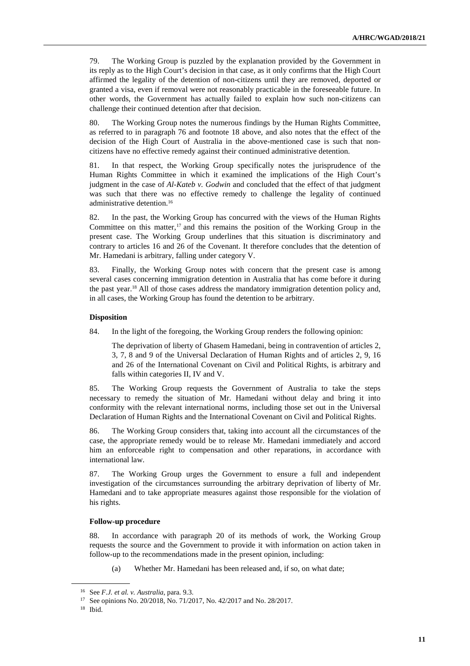79. The Working Group is puzzled by the explanation provided by the Government in its reply as to the High Court's decision in that case, as it only confirms that the High Court affirmed the legality of the detention of non-citizens until they are removed, deported or granted a visa, even if removal were not reasonably practicable in the foreseeable future. In other words, the Government has actually failed to explain how such non-citizens can challenge their continued detention after that decision.

80. The Working Group notes the numerous findings by the Human Rights Committee, as referred to in paragraph 76 and footnote 18 above, and also notes that the effect of the decision of the High Court of Australia in the above-mentioned case is such that noncitizens have no effective remedy against their continued administrative detention.

81. In that respect, the Working Group specifically notes the jurisprudence of the Human Rights Committee in which it examined the implications of the High Court's judgment in the case of *Al-Kateb v. Godwin* and concluded that the effect of that judgment was such that there was no effective remedy to challenge the legality of continued administrative detention.<sup>16</sup>

82. In the past, the Working Group has concurred with the views of the Human Rights Committee on this matter,<sup>17</sup> and this remains the position of the Working Group in the present case. The Working Group underlines that this situation is discriminatory and contrary to articles 16 and 26 of the Covenant. It therefore concludes that the detention of Mr. Hamedani is arbitrary, falling under category V.

83. Finally, the Working Group notes with concern that the present case is among several cases concerning immigration detention in Australia that has come before it during the past year.18 All of those cases address the mandatory immigration detention policy and, in all cases, the Working Group has found the detention to be arbitrary.

#### **Disposition**

84. In the light of the foregoing, the Working Group renders the following opinion:

The deprivation of liberty of Ghasem Hamedani, being in contravention of articles 2, 3, 7, 8 and 9 of the Universal Declaration of Human Rights and of articles 2, 9, 16 and 26 of the International Covenant on Civil and Political Rights, is arbitrary and falls within categories II, IV and V.

85. The Working Group requests the Government of Australia to take the steps necessary to remedy the situation of Mr. Hamedani without delay and bring it into conformity with the relevant international norms, including those set out in the Universal Declaration of Human Rights and the International Covenant on Civil and Political Rights.

86. The Working Group considers that, taking into account all the circumstances of the case, the appropriate remedy would be to release Mr. Hamedani immediately and accord him an enforceable right to compensation and other reparations, in accordance with international law.

87. The Working Group urges the Government to ensure a full and independent investigation of the circumstances surrounding the arbitrary deprivation of liberty of Mr. Hamedani and to take appropriate measures against those responsible for the violation of his rights.

#### **Follow-up procedure**

88. In accordance with paragraph 20 of its methods of work, the Working Group requests the source and the Government to provide it with information on action taken in follow-up to the recommendations made in the present opinion, including:

(a) Whether Mr. Hamedani has been released and, if so, on what date;

<sup>16</sup> See *F.J. et al. v. Australia*, para. 9.3.

<sup>17</sup> See opinions No. 20/2018, No. 71/2017, No. 42/2017 and No. 28/2017.

<sup>18</sup> Ibid.